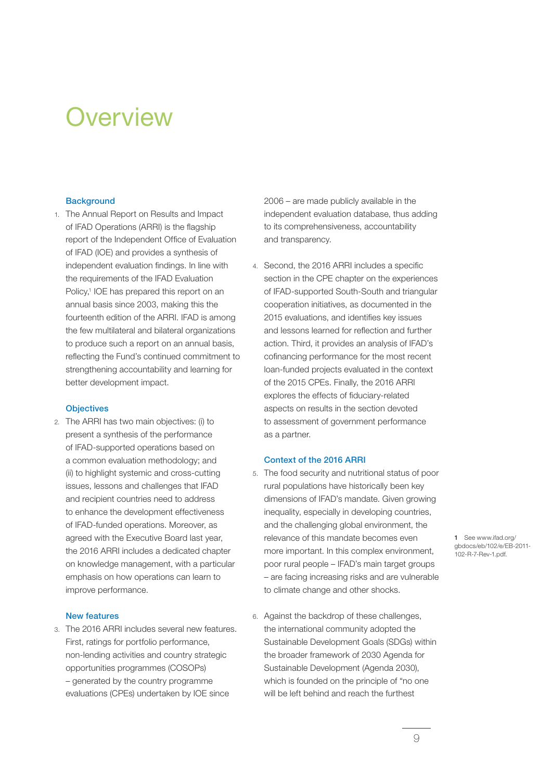# **Overview**

## **Background**

1. The Annual Report on Results and Impact of IFAD Operations (ARRI) is the flagship report of the Independent Office of Evaluation of IFAD (IOE) and provides a synthesis of independent evaluation findings. In line with the requirements of the IFAD Evaluation Policy,<sup>1</sup> IOE has prepared this report on an annual basis since 2003, making this the fourteenth edition of the ARRI. IFAD is among the few multilateral and bilateral organizations to produce such a report on an annual basis, reflecting the Fund's continued commitment to strengthening accountability and learning for better development impact.

## **Objectives**

2. The ARRI has two main objectives: (i) to present a synthesis of the performance of IFAD-supported operations based on a common evaluation methodology; and (ii) to highlight systemic and cross-cutting issues, lessons and challenges that IFAD and recipient countries need to address to enhance the development effectiveness of IFAD-funded operations. Moreover, as agreed with the Executive Board last year, the 2016 ARRI includes a dedicated chapter on knowledge management, with a particular emphasis on how operations can learn to improve performance.

#### New features

3. The 2016 ARRI includes several new features. First, ratings for portfolio performance, non-lending activities and country strategic opportunities programmes (COSOPs) – generated by the country programme evaluations (CPEs) undertaken by IOE since

2006 – are made publicly available in the independent evaluation database, thus adding to its comprehensiveness, accountability and transparency.

4. Second, the 2016 ARRI includes a specific section in the CPE chapter on the experiences of IFAD-supported South-South and triangular cooperation initiatives, as documented in the 2015 evaluations, and identifies key issues and lessons learned for reflection and further action. Third, it provides an analysis of IFAD's cofinancing performance for the most recent loan-funded projects evaluated in the context of the 2015 CPEs. Finally, the 2016 ARRI explores the effects of fiduciary-related aspects on results in the section devoted to assessment of government performance as a partner.

## Context of the 2016 ARRI

- 5. The food security and nutritional status of poor rural populations have historically been key dimensions of IFAD's mandate. Given growing inequality, especially in developing countries, and the challenging global environment, the relevance of this mandate becomes even more important. In this complex environment, poor rural people – IFAD's main target groups – are facing increasing risks and are vulnerable to climate change and other shocks.
- 6. Against the backdrop of these challenges, the international community adopted the Sustainable Development Goals (SDGs) within the broader framework of 2030 Agenda for Sustainable Development (Agenda 2030), which is founded on the principle of "no one will be left behind and reach the furthest

1 See www.ifad.org/ gbdocs/eb/102/e/EB-2011- 102-R-7-Rev-1.pdf.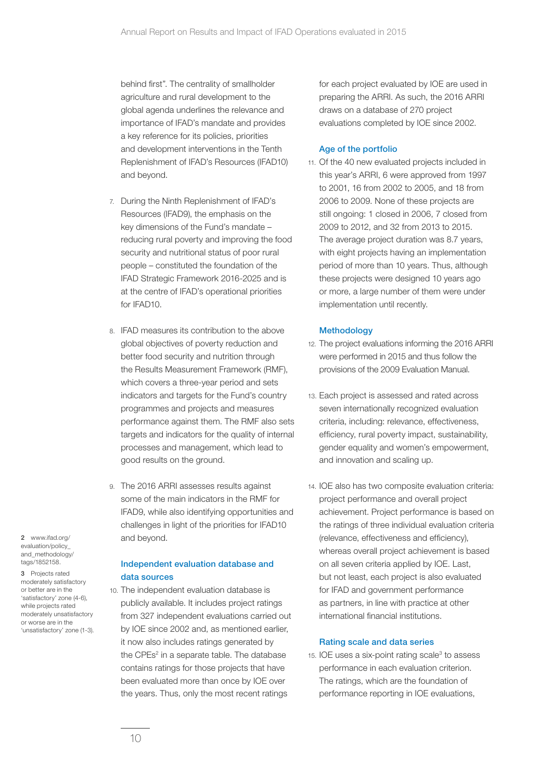behind first". The centrality of smallholder agriculture and rural development to the global agenda underlines the relevance and importance of IFAD's mandate and provides a key reference for its policies, priorities and development interventions in the Tenth Replenishment of IFAD's Resources (IFAD10) and beyond.

- 7. During the Ninth Replenishment of IFAD's Resources (IFAD9), the emphasis on the key dimensions of the Fund's mandate – reducing rural poverty and improving the food security and nutritional status of poor rural people – constituted the foundation of the IFAD Strategic Framework 2016-2025 and is at the centre of IFAD's operational priorities for IFAD10.
- 8. IFAD measures its contribution to the above global objectives of poverty reduction and better food security and nutrition through the Results Measurement Framework (RMF), which covers a three-year period and sets indicators and targets for the Fund's country programmes and projects and measures performance against them. The RMF also sets targets and indicators for the quality of internal processes and management, which lead to good results on the ground.
- 9. The 2016 ARRI assesses results against some of the main indicators in the RMF for IFAD9, while also identifying opportunities and challenges in light of the priorities for IFAD10 and beyond.

## Independent evaluation database and data sources

10. The independent evaluation database is publicly available. It includes project ratings from 327 independent evaluations carried out by IOE since 2002 and, as mentioned earlier, it now also includes ratings generated by the CPEs<sup>2</sup> in a separate table. The database contains ratings for those projects that have been evaluated more than once by IOE over the years. Thus, only the most recent ratings

for each project evaluated by IOE are used in preparing the ARRI. As such, the 2016 ARRI draws on a database of 270 project evaluations completed by IOE since 2002.

## Age of the portfolio

11. Of the 40 new evaluated projects included in this year's ARRI, 6 were approved from 1997 to 2001, 16 from 2002 to 2005, and 18 from 2006 to 2009. None of these projects are still ongoing: 1 closed in 2006, 7 closed from 2009 to 2012, and 32 from 2013 to 2015. The average project duration was 8.7 years, with eight projects having an implementation period of more than 10 years. Thus, although these projects were designed 10 years ago or more, a large number of them were under implementation until recently.

# **Methodology**

- 12. The project evaluations informing the 2016 ARRI were performed in 2015 and thus follow the provisions of the 2009 Evaluation Manual.
- 13. Each project is assessed and rated across seven internationally recognized evaluation criteria, including: relevance, effectiveness, efficiency, rural poverty impact, sustainability, gender equality and women's empowerment, and innovation and scaling up.
- 14. IOE also has two composite evaluation criteria: project performance and overall project achievement. Project performance is based on the ratings of three individual evaluation criteria (relevance, effectiveness and efficiency), whereas overall project achievement is based on all seven criteria applied by IOE. Last, but not least, each project is also evaluated for IFAD and government performance as partners, in line with practice at other international financial institutions.

## Rating scale and data series

 $15.$  IOE uses a six-point rating scale $3$  to assess performance in each evaluation criterion. The ratings, which are the foundation of performance reporting in IOE evaluations,

2 www.ifad.org/ evaluation/policy\_ and\_methodology/ tags/1852158.

3 Projects rated moderately satisfactory or better are in the 'satisfactory' zone (4-6), while projects rated moderately unsatisfactory or worse are in the 'unsatisfactory' zone (1-3).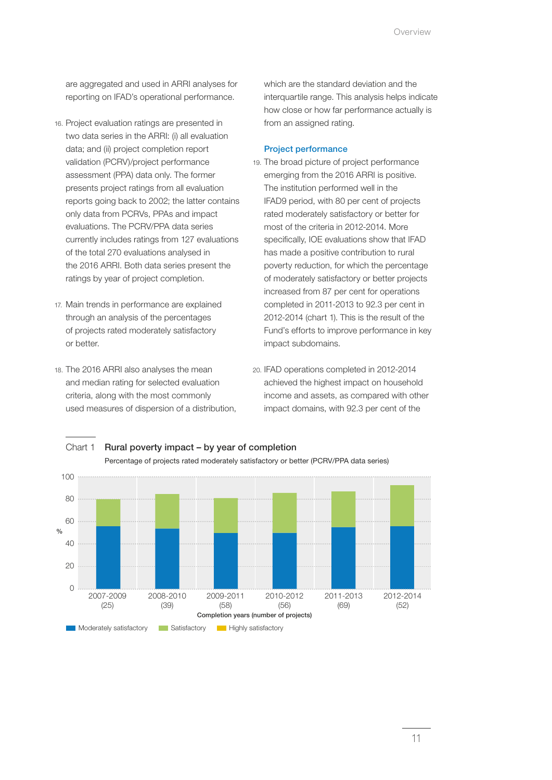are aggregated and used in ARRI analyses for reporting on IFAD's operational performance.

- 16. Project evaluation ratings are presented in two data series in the ARRI: (i) all evaluation data; and (ii) project completion report validation (PCRV)/project performance assessment (PPA) data only. The former presents project ratings from all evaluation reports going back to 2002; the latter contains only data from PCRVs, PPAs and impact evaluations. The PCRV/PPA data series currently includes ratings from 127 evaluations of the total 270 evaluations analysed in the 2016 ARRI. Both data series present the ratings by year of project completion.
- 17. Main trends in performance are explained through an analysis of the percentages of projects rated moderately satisfactory or better.
- 18. The 2016 ARRI also analyses the mean and median rating for selected evaluation criteria, along with the most commonly used measures of dispersion of a distribution,

which are the standard deviation and the interquartile range. This analysis helps indicate how close or how far performance actually is from an assigned rating.

## Project performance

- 19. The broad picture of project performance emerging from the 2016 ARRI is positive. The institution performed well in the IFAD9 period, with 80 per cent of projects rated moderately satisfactory or better for most of the criteria in 2012-2014. More specifically, IOE evaluations show that IFAD has made a positive contribution to rural poverty reduction, for which the percentage of moderately satisfactory or better projects increased from 87 per cent for operations completed in 2011-2013 to 92.3 per cent in 2012-2014 (chart 1). This is the result of the Fund's efforts to improve performance in key impact subdomains.
- 20. IFAD operations completed in 2012-2014 achieved the highest impact on household income and assets, as compared with other impact domains, with 92.3 per cent of the



## Chart 1 Rural poverty impact – by year of completion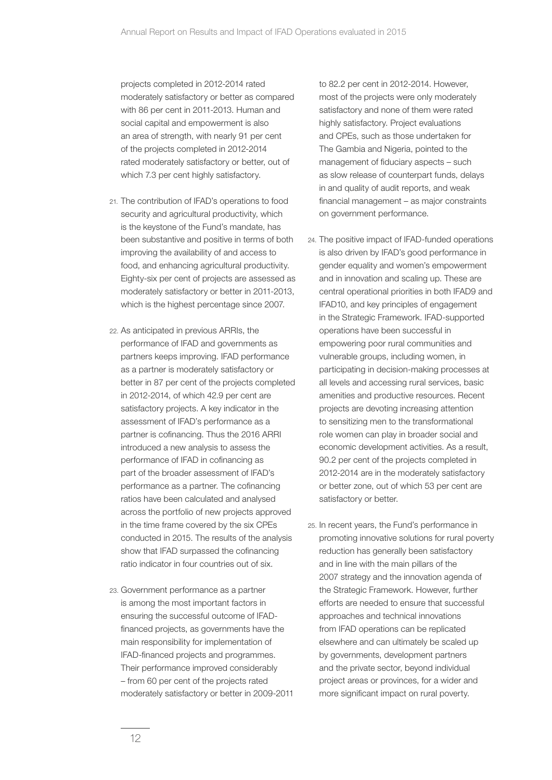projects completed in 2012-2014 rated moderately satisfactory or better as compared with 86 per cent in 2011-2013. Human and social capital and empowerment is also an area of strength, with nearly 91 per cent of the projects completed in 2012-2014 rated moderately satisfactory or better, out of which 7.3 per cent highly satisfactory.

- 21. The contribution of IFAD's operations to food security and agricultural productivity, which is the keystone of the Fund's mandate, has been substantive and positive in terms of both improving the availability of and access to food, and enhancing agricultural productivity. Eighty-six per cent of projects are assessed as moderately satisfactory or better in 2011-2013, which is the highest percentage since 2007.
- 22. As anticipated in previous ARRIs, the performance of IFAD and governments as partners keeps improving. IFAD performance as a partner is moderately satisfactory or better in 87 per cent of the projects completed in 2012-2014, of which 42.9 per cent are satisfactory projects. A key indicator in the assessment of IFAD's performance as a partner is cofinancing. Thus the 2016 ARRI introduced a new analysis to assess the performance of IFAD in cofinancing as part of the broader assessment of IFAD's performance as a partner. The cofinancing ratios have been calculated and analysed across the portfolio of new projects approved in the time frame covered by the six CPEs conducted in 2015. The results of the analysis show that IFAD surpassed the cofinancing ratio indicator in four countries out of six.
- 23. Government performance as a partner is among the most important factors in ensuring the successful outcome of IFADfinanced projects, as governments have the main responsibility for implementation of IFAD-financed projects and programmes. Their performance improved considerably – from 60 per cent of the projects rated moderately satisfactory or better in 2009-2011

to 82.2 per cent in 2012-2014. However, most of the projects were only moderately satisfactory and none of them were rated highly satisfactory. Project evaluations and CPEs, such as those undertaken for The Gambia and Nigeria, pointed to the management of fiduciary aspects – such as slow release of counterpart funds, delays in and quality of audit reports, and weak financial management – as major constraints on government performance.

- 24. The positive impact of IFAD-funded operations is also driven by IFAD's good performance in gender equality and women's empowerment and in innovation and scaling up. These are central operational priorities in both IFAD9 and IFAD10, and key principles of engagement in the Strategic Framework. IFAD-supported operations have been successful in empowering poor rural communities and vulnerable groups, including women, in participating in decision-making processes at all levels and accessing rural services, basic amenities and productive resources. Recent projects are devoting increasing attention to sensitizing men to the transformational role women can play in broader social and economic development activities. As a result, 90.2 per cent of the projects completed in 2012-2014 are in the moderately satisfactory or better zone, out of which 53 per cent are satisfactory or better.
- 25. In recent years, the Fund's performance in promoting innovative solutions for rural poverty reduction has generally been satisfactory and in line with the main pillars of the 2007 strategy and the innovation agenda of the Strategic Framework. However, further efforts are needed to ensure that successful approaches and technical innovations from IFAD operations can be replicated elsewhere and can ultimately be scaled up by governments, development partners and the private sector, beyond individual project areas or provinces, for a wider and more significant impact on rural poverty.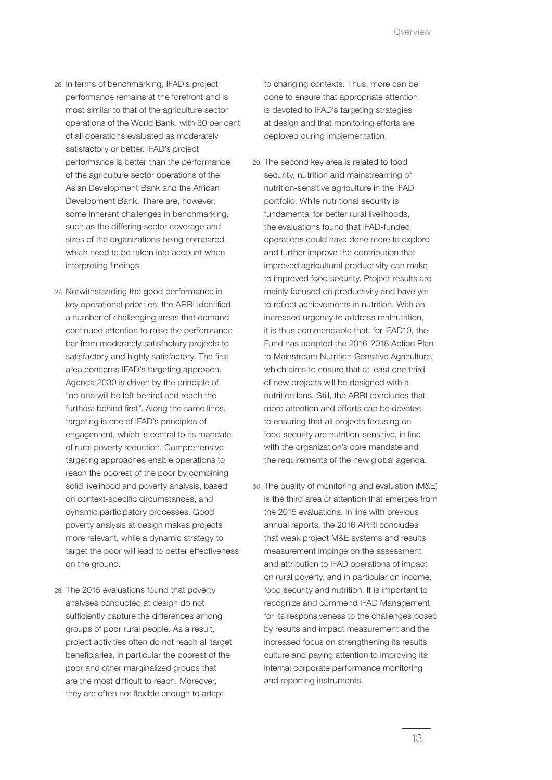- 26. In terms of benchmarking, IFAD's project performance remains at the forefront and is most similar to that of the agriculture sector operations of the World Bank, with 80 per cent of all operations evaluated as moderately satisfactory or better. IFAD's project performance is better than the performance of the agriculture sector operations of the Asian Development Bank and the African Development Bank. There are, however, some inherent challenges in benchmarking, such as the differing sector coverage and sizes of the organizations being compared. which need to be taken into account when interpreting findings.
- 27. Notwithstanding the good performance in key operational priorities, the ARRI identified a number of challenging areas that demand continued attention to raise the performance bar from moderately satisfactory projects to satisfactory and highly satisfactory. The first area concerns IFAD's targeting approach. Agenda 2030 is driven by the principle of "no one will be left behind and reach the furthest behind first". Along the same lines, targeting is one of IFAD's principles of engagement, which is central to its mandate of rural poverty reduction. Comprehensive targeting approaches enable operations to reach the poorest of the poor by combining solid livelihood and poverty analysis, based on context-specific circumstances, and dynamic participatory processes. Good poverty analysis at design makes projects more relevant, while a dynamic strategy to target the poor will lead to better effectiveness on the ground.
- 28. The 2015 evaluations found that poverty analyses conducted at design do not sufficiently capture the differences among groups of poor rural people. As a result, project activities often do not reach all target beneficiaries, in particular the poorest of the poor and other marginalized groups that are the most difficult to reach. Moreover, they are often not flexible enough to adapt

to changing contexts. Thus, more can be done to ensure that appropriate attention is devoted to IFAD's targeting strategies at design and that monitoring efforts are deployed during implementation.

- 29. The second key area is related to food security, nutrition and mainstreaming of nutrition-sensitive agriculture in the IFAD portfolio. While nutritional security is fundamental for better rural livelihoods, the evaluations found that IFAD-funded operations could have done more to explore and further improve the contribution that improved agricultural productivity can make to improved food security. Project results are mainly focused on productivity and have yet to reflect achievements in nutrition. With an increased urgency to address malnutrition, it is thus commendable that, for IFAD10, the Fund has adopted the 2016-2018 Action Plan to Mainstream Nutrition-Sensitive Agriculture, which aims to ensure that at least one third of new projects will be designed with a nutrition lens. Still, the ARRI concludes that more attention and efforts can be devoted to ensuring that all projects focusing on food security are nutrition-sensitive, in line with the organization's core mandate and the requirements of the new global agenda.
- 30. The quality of monitoring and evaluation (M&E) is the third area of attention that emerges from the 2015 evaluations. In line with previous annual reports, the 2016 ARRI concludes that weak project M&E systems and results measurement impinge on the assessment and attribution to IFAD operations of impact on rural poverty, and in particular on income, food security and nutrition. It is important to recognize and commend IFAD Management for its responsiveness to the challenges posed by results and impact measurement and the increased focus on strengthening its results culture and paying attention to improving its internal corporate performance monitoring and reporting instruments.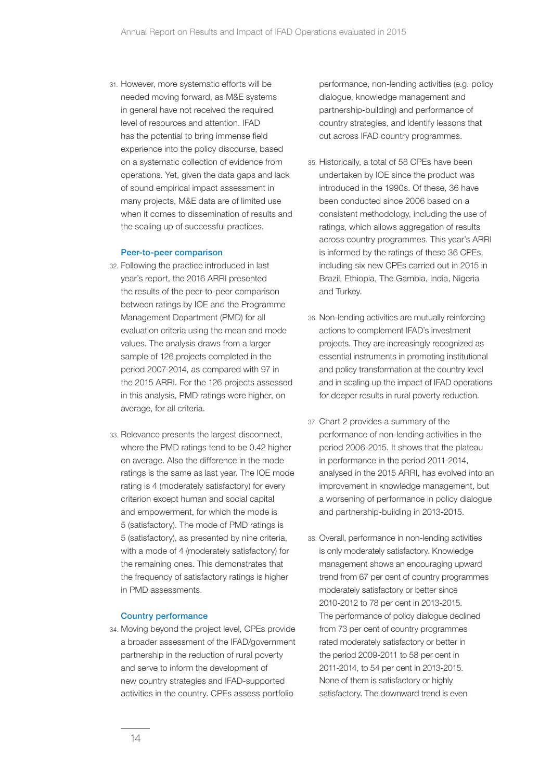31. However, more systematic efforts will be needed moving forward, as M&E systems in general have not received the required level of resources and attention. IFAD has the potential to bring immense field experience into the policy discourse, based on a systematic collection of evidence from operations. Yet, given the data gaps and lack of sound empirical impact assessment in many projects, M&E data are of limited use when it comes to dissemination of results and the scaling up of successful practices.

#### Peer-to-peer comparison

- 32. Following the practice introduced in last year's report, the 2016 ARRI presented the results of the peer-to-peer comparison between ratings by IOE and the Programme Management Department (PMD) for all evaluation criteria using the mean and mode values. The analysis draws from a larger sample of 126 projects completed in the period 2007-2014, as compared with 97 in the 2015 ARRI. For the 126 projects assessed in this analysis, PMD ratings were higher, on average, for all criteria.
- 33. Relevance presents the largest disconnect, where the PMD ratings tend to be 0.42 higher on average. Also the difference in the mode ratings is the same as last year. The IOE mode rating is 4 (moderately satisfactory) for every criterion except human and social capital and empowerment, for which the mode is 5 (satisfactory). The mode of PMD ratings is 5 (satisfactory), as presented by nine criteria, with a mode of 4 (moderately satisfactory) for the remaining ones. This demonstrates that the frequency of satisfactory ratings is higher in PMD assessments.

#### Country performance

34. Moving beyond the project level, CPEs provide a broader assessment of the IFAD/government partnership in the reduction of rural poverty and serve to inform the development of new country strategies and IFAD-supported activities in the country. CPEs assess portfolio

performance, non-lending activities (e.g. policy dialogue, knowledge management and partnership-building) and performance of country strategies, and identify lessons that cut across IFAD country programmes.

- 35. Historically, a total of 58 CPEs have been undertaken by IOE since the product was introduced in the 1990s. Of these, 36 have been conducted since 2006 based on a consistent methodology, including the use of ratings, which allows aggregation of results across country programmes. This year's ARRI is informed by the ratings of these 36 CPEs, including six new CPEs carried out in 2015 in Brazil, Ethiopia, The Gambia, India, Nigeria and Turkey.
- 36. Non-lending activities are mutually reinforcing actions to complement IFAD's investment projects. They are increasingly recognized as essential instruments in promoting institutional and policy transformation at the country level and in scaling up the impact of IFAD operations for deeper results in rural poverty reduction.
- 37. Chart 2 provides a summary of the performance of non-lending activities in the period 2006-2015. It shows that the plateau in performance in the period 2011-2014, analysed in the 2015 ARRI, has evolved into an improvement in knowledge management, but a worsening of performance in policy dialogue and partnership-building in 2013-2015.
- 38. Overall, performance in non-lending activities is only moderately satisfactory. Knowledge management shows an encouraging upward trend from 67 per cent of country programmes moderately satisfactory or better since 2010-2012 to 78 per cent in 2013-2015. The performance of policy dialogue declined from 73 per cent of country programmes rated moderately satisfactory or better in the period 2009-2011 to 58 per cent in 2011-2014, to 54 per cent in 2013-2015. None of them is satisfactory or highly satisfactory. The downward trend is even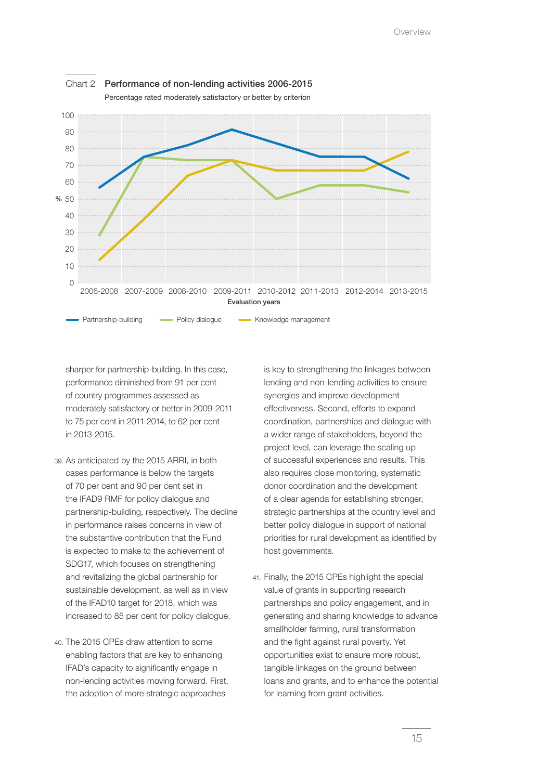

sharper for partnership-building. In this case, performance diminished from 91 per cent of country programmes assessed as moderately satisfactory or better in 2009-2011 to 75 per cent in 2011-2014, to 62 per cent in 2013-2015.

- 39. As anticipated by the 2015 ARRI, in both cases performance is below the targets of 70 per cent and 90 per cent set in the IFAD9 RMF for policy dialogue and partnership-building, respectively. The decline in performance raises concerns in view of the substantive contribution that the Fund is expected to make to the achievement of SDG17, which focuses on strengthening and revitalizing the global partnership for sustainable development, as well as in view of the IFAD10 target for 2018, which was increased to 85 per cent for policy dialogue.
- 40. The 2015 CPEs draw attention to some enabling factors that are key to enhancing IFAD's capacity to significantly engage in non-lending activities moving forward. First, the adoption of more strategic approaches

is key to strengthening the linkages between lending and non-lending activities to ensure synergies and improve development effectiveness. Second, efforts to expand coordination, partnerships and dialogue with a wider range of stakeholders, beyond the project level, can leverage the scaling up of successful experiences and results. This also requires close monitoring, systematic donor coordination and the development of a clear agenda for establishing stronger, strategic partnerships at the country level and better policy dialogue in support of national priorities for rural development as identified by host governments.

41. Finally, the 2015 CPEs highlight the special value of grants in supporting research partnerships and policy engagement, and in generating and sharing knowledge to advance smallholder farming, rural transformation and the fight against rural poverty. Yet opportunities exist to ensure more robust, tangible linkages on the ground between loans and grants, and to enhance the potential for learning from grant activities.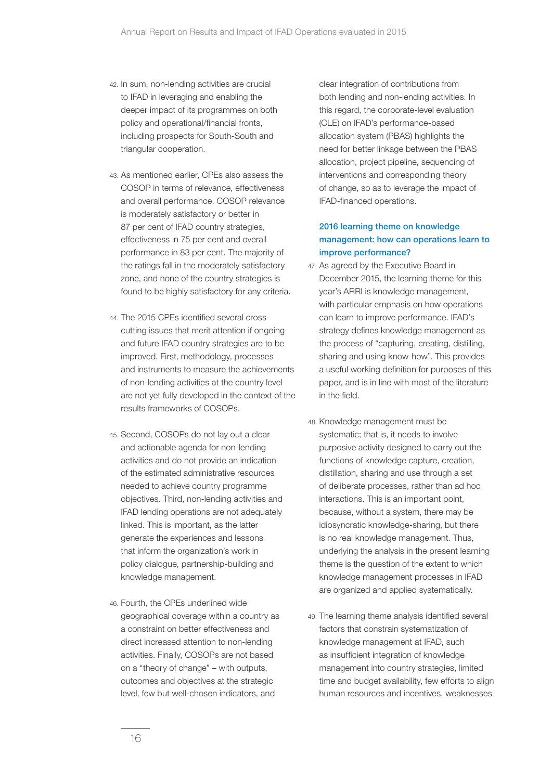- 42. In sum, non-lending activities are crucial to IFAD in leveraging and enabling the deeper impact of its programmes on both policy and operational/financial fronts, including prospects for South-South and triangular cooperation.
- 43. As mentioned earlier, CPEs also assess the COSOP in terms of relevance, effectiveness and overall performance. COSOP relevance is moderately satisfactory or better in 87 per cent of IFAD country strategies, effectiveness in 75 per cent and overall performance in 83 per cent. The majority of the ratings fall in the moderately satisfactory zone, and none of the country strategies is found to be highly satisfactory for any criteria.
- 44. The 2015 CPEs identified several crosscutting issues that merit attention if ongoing and future IFAD country strategies are to be improved. First, methodology, processes and instruments to measure the achievements of non-lending activities at the country level are not yet fully developed in the context of the results frameworks of COSOPs.
- 45. Second, COSOPs do not lay out a clear and actionable agenda for non-lending activities and do not provide an indication of the estimated administrative resources needed to achieve country programme objectives. Third, non-lending activities and IFAD lending operations are not adequately linked. This is important, as the latter generate the experiences and lessons that inform the organization's work in policy dialogue, partnership-building and knowledge management.
- 46. Fourth, the CPEs underlined wide geographical coverage within a country as a constraint on better effectiveness and direct increased attention to non-lending activities. Finally, COSOPs are not based on a "theory of change" – with outputs, outcomes and objectives at the strategic level, few but well-chosen indicators, and

clear integration of contributions from both lending and non-lending activities. In this regard, the corporate-level evaluation (CLE) on IFAD's performance-based allocation system (PBAS) highlights the need for better linkage between the PBAS allocation, project pipeline, sequencing of interventions and corresponding theory of change, so as to leverage the impact of IFAD-financed operations.

# 2016 learning theme on knowledge management: how can operations learn to improve performance?

- 47. As agreed by the Executive Board in December 2015, the learning theme for this year's ARRI is knowledge management, with particular emphasis on how operations can learn to improve performance. IFAD's strategy defines knowledge management as the process of "capturing, creating, distilling, sharing and using know-how". This provides a useful working definition for purposes of this paper, and is in line with most of the literature in the field.
- 48. Knowledge management must be systematic; that is, it needs to involve purposive activity designed to carry out the functions of knowledge capture, creation, distillation, sharing and use through a set of deliberate processes, rather than ad hoc interactions. This is an important point, because, without a system, there may be idiosyncratic knowledge-sharing, but there is no real knowledge management. Thus, underlying the analysis in the present learning theme is the question of the extent to which knowledge management processes in IFAD are organized and applied systematically.
- 49. The learning theme analysis identified several factors that constrain systematization of knowledge management at IFAD, such as insufficient integration of knowledge management into country strategies, limited time and budget availability, few efforts to align human resources and incentives, weaknesses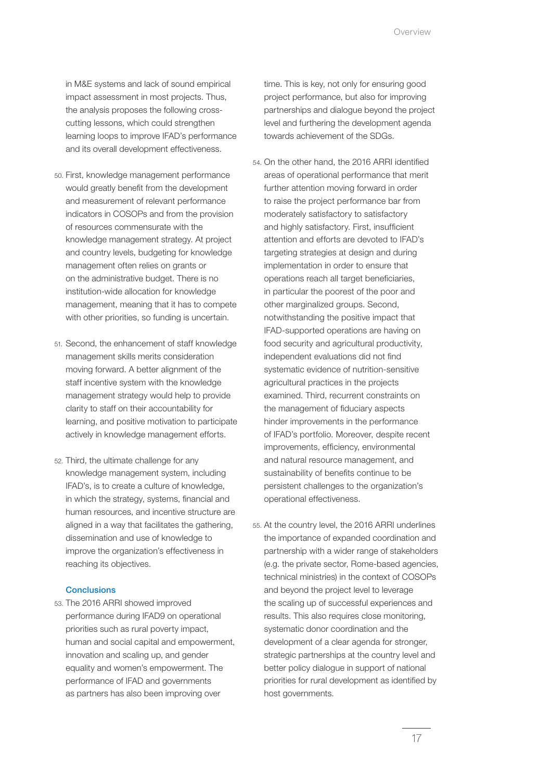in M&E systems and lack of sound empirical impact assessment in most projects. Thus, the analysis proposes the following crosscutting lessons, which could strengthen learning loops to improve IFAD's performance and its overall development effectiveness.

- 50. First, knowledge management performance would greatly benefit from the development and measurement of relevant performance indicators in COSOPs and from the provision of resources commensurate with the knowledge management strategy. At project and country levels, budgeting for knowledge management often relies on grants or on the administrative budget. There is no institution-wide allocation for knowledge management, meaning that it has to compete with other priorities, so funding is uncertain.
- 51. Second, the enhancement of staff knowledge management skills merits consideration moving forward. A better alignment of the staff incentive system with the knowledge management strategy would help to provide clarity to staff on their accountability for learning, and positive motivation to participate actively in knowledge management efforts.
- 52. Third, the ultimate challenge for any knowledge management system, including IFAD's, is to create a culture of knowledge, in which the strategy, systems, financial and human resources, and incentive structure are aligned in a way that facilitates the gathering, dissemination and use of knowledge to improve the organization's effectiveness in reaching its objectives.

## **Conclusions**

53. The 2016 ARRI showed improved performance during IFAD9 on operational priorities such as rural poverty impact, human and social capital and empowerment, innovation and scaling up, and gender equality and women's empowerment. The performance of IFAD and governments as partners has also been improving over

time. This is key, not only for ensuring good project performance, but also for improving partnerships and dialogue beyond the project level and furthering the development agenda towards achievement of the SDGs.

- 54. On the other hand, the 2016 ARRI identified areas of operational performance that merit further attention moving forward in order to raise the project performance bar from moderately satisfactory to satisfactory and highly satisfactory. First, insufficient attention and efforts are devoted to IFAD's targeting strategies at design and during implementation in order to ensure that operations reach all target beneficiaries, in particular the poorest of the poor and other marginalized groups. Second, notwithstanding the positive impact that IFAD-supported operations are having on food security and agricultural productivity, independent evaluations did not find systematic evidence of nutrition-sensitive agricultural practices in the projects examined. Third, recurrent constraints on the management of fiduciary aspects hinder improvements in the performance of IFAD's portfolio. Moreover, despite recent improvements, efficiency, environmental and natural resource management, and sustainability of benefits continue to be persistent challenges to the organization's operational effectiveness.
- 55. At the country level, the 2016 ARRI underlines the importance of expanded coordination and partnership with a wider range of stakeholders (e.g. the private sector, Rome-based agencies, technical ministries) in the context of COSOPs and beyond the project level to leverage the scaling up of successful experiences and results. This also requires close monitoring, systematic donor coordination and the development of a clear agenda for stronger, strategic partnerships at the country level and better policy dialogue in support of national priorities for rural development as identified by host governments.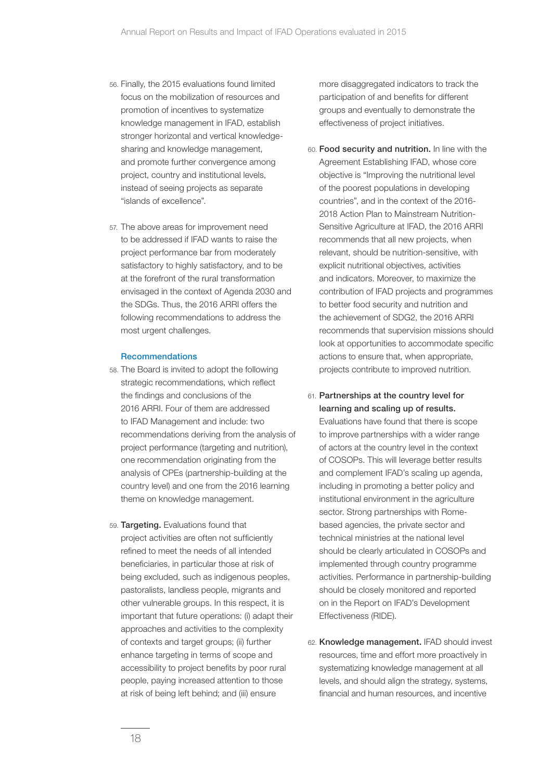- 56. Finally, the 2015 evaluations found limited focus on the mobilization of resources and promotion of incentives to systematize knowledge management in IFAD, establish stronger horizontal and vertical knowledgesharing and knowledge management, and promote further convergence among project, country and institutional levels, instead of seeing projects as separate "islands of excellence".
- 57. The above areas for improvement need to be addressed if IFAD wants to raise the project performance bar from moderately satisfactory to highly satisfactory, and to be at the forefront of the rural transformation envisaged in the context of Agenda 2030 and the SDGs. Thus, the 2016 ARRI offers the following recommendations to address the most urgent challenges.

## Recommendations

- 58. The Board is invited to adopt the following strategic recommendations, which reflect the findings and conclusions of the 2016 ARRI. Four of them are addressed to IFAD Management and include: two recommendations deriving from the analysis of project performance (targeting and nutrition), one recommendation originating from the analysis of CPEs (partnership-building at the country level) and one from the 2016 learning theme on knowledge management.
- 59. Targeting. Evaluations found that project activities are often not sufficiently refined to meet the needs of all intended beneficiaries, in particular those at risk of being excluded, such as indigenous peoples, pastoralists, landless people, migrants and other vulnerable groups. In this respect, it is important that future operations: (i) adapt their approaches and activities to the complexity of contexts and target groups; (ii) further enhance targeting in terms of scope and accessibility to project benefits by poor rural people, paying increased attention to those at risk of being left behind; and (iii) ensure

more disaggregated indicators to track the participation of and benefits for different groups and eventually to demonstrate the effectiveness of project initiatives.

- 60. Food security and nutrition. In line with the Agreement Establishing IFAD, whose core objective is "Improving the nutritional level of the poorest populations in developing countries", and in the context of the 2016- 2018 Action Plan to Mainstream Nutrition-Sensitive Agriculture at IFAD, the 2016 ARRI recommends that all new projects, when relevant, should be nutrition-sensitive, with explicit nutritional objectives, activities and indicators. Moreover, to maximize the contribution of IFAD projects and programmes to better food security and nutrition and the achievement of SDG2, the 2016 ARRI recommends that supervision missions should look at opportunities to accommodate specific actions to ensure that, when appropriate, projects contribute to improved nutrition.
- 61. Partnerships at the country level for learning and scaling up of results.

Evaluations have found that there is scope to improve partnerships with a wider range of actors at the country level in the context of COSOPs. This will leverage better results and complement IFAD's scaling up agenda, including in promoting a better policy and institutional environment in the agriculture sector. Strong partnerships with Romebased agencies, the private sector and technical ministries at the national level should be clearly articulated in COSOPs and implemented through country programme activities. Performance in partnership-building should be closely monitored and reported on in the Report on IFAD's Development Effectiveness (RIDE).

62. Knowledge management. IFAD should invest resources, time and effort more proactively in systematizing knowledge management at all levels, and should align the strategy, systems, financial and human resources, and incentive